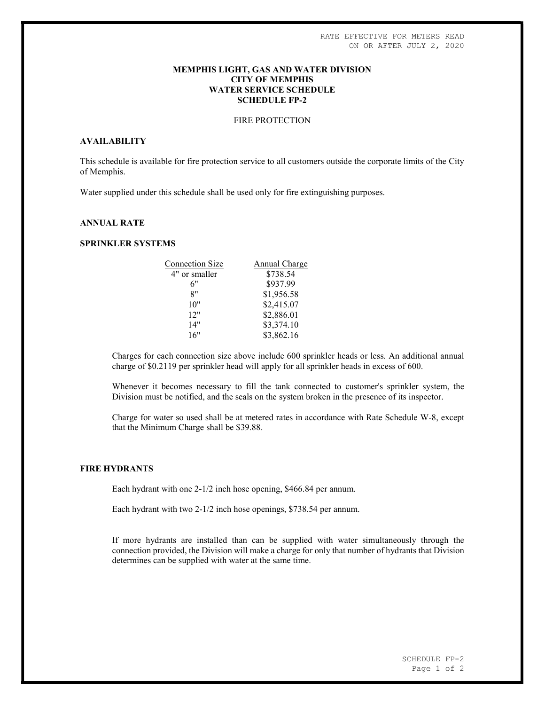### MEMPHIS LIGHT, GAS AND WATER DIVISION CITY OF MEMPHIS WATER SERVICE SCHEDULE SCHEDULE FP-2

# FIRE PROTECTION

# AVAILABILITY

This schedule is available for fire protection service to all customers outside the corporate limits of the City of Memphis.

Water supplied under this schedule shall be used only for fire extinguishing purposes.

# ANNUAL RATE

### SPRINKLER SYSTEMS

| <b>Connection Size</b> | Annual Charge |
|------------------------|---------------|
| 4" or smaller          | \$738.54      |
| 6"                     | \$937.99      |
| 8"                     | \$1,956.58    |
| 10"                    | \$2,415.07    |
| 12"                    | \$2,886.01    |
| 14"                    | \$3,374.10    |
| 16"                    | \$3,862.16    |

Charges for each connection size above include 600 sprinkler heads or less. An additional annual charge of \$0.2119 per sprinkler head will apply for all sprinkler heads in excess of 600.

Whenever it becomes necessary to fill the tank connected to customer's sprinkler system, the Division must be notified, and the seals on the system broken in the presence of its inspector.

Charge for water so used shall be at metered rates in accordance with Rate Schedule W-8, except that the Minimum Charge shall be \$39.88.

#### FIRE HYDRANTS

Each hydrant with one 2-1/2 inch hose opening, \$466.84 per annum.

Each hydrant with two 2-1/2 inch hose openings, \$738.54 per annum.

If more hydrants are installed than can be supplied with water simultaneously through the connection provided, the Division will make a charge for only that number of hydrants that Division determines can be supplied with water at the same time.